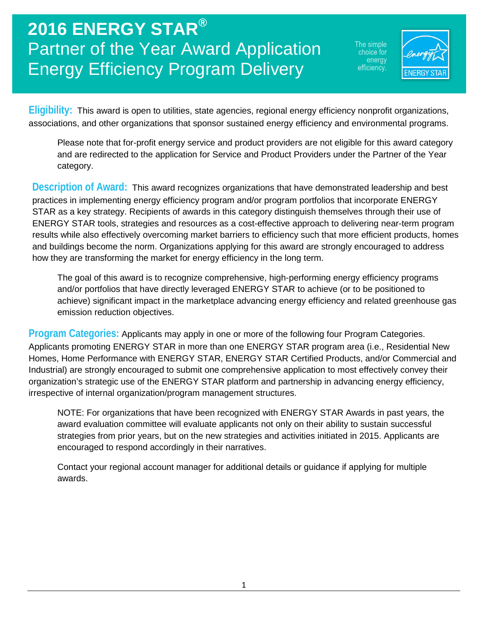The simple choice for energy efficiency.



**Eligibility:** This award is open to utilities, state agencies, regional energy efficiency nonprofit organizations, associations, and other organizations that sponsor sustained energy efficiency and environmental programs.

Please note that for-profit energy service and product providers are not eligible for this award category and are redirected to the application for Service and Product Providers under the Partner of the Year category.

**Description of Award:** This award recognizes organizations that have demonstrated leadership and best practices in implementing energy efficiency program and/or program portfolios that incorporate ENERGY STAR as a key strategy. Recipients of awards in this category distinguish themselves through their use of ENERGY STAR tools, strategies and resources as a cost-effective approach to delivering near-term program results while also effectively overcoming market barriers to efficiency such that more efficient products, homes and buildings become the norm. Organizations applying for this award are strongly encouraged to address how they are transforming the market for energy efficiency in the long term.

The goal of this award is to recognize comprehensive, high-performing energy efficiency programs and/or portfolios that have directly leveraged ENERGY STAR to achieve (or to be positioned to achieve) significant impact in the marketplace advancing energy efficiency and related greenhouse gas emission reduction objectives.

**Program Categories:** Applicants may apply in one or more of the following four Program Categories. Applicants promoting ENERGY STAR in more than one ENERGY STAR program area (i.e., Residential New Homes, Home Performance with ENERGY STAR, ENERGY STAR Certified Products, and/or Commercial and Industrial) are strongly encouraged to submit one comprehensive application to most effectively convey their organization's strategic use of the ENERGY STAR platform and partnership in advancing energy efficiency, irrespective of internal organization/program management structures.

NOTE: For organizations that have been recognized with ENERGY STAR Awards in past years, the award evaluation committee will evaluate applicants not only on their ability to sustain successful strategies from prior years, but on the new strategies and activities initiated in 2015. Applicants are encouraged to respond accordingly in their narratives.

Contact your regional account manager for additional details or guidance if applying for multiple awards.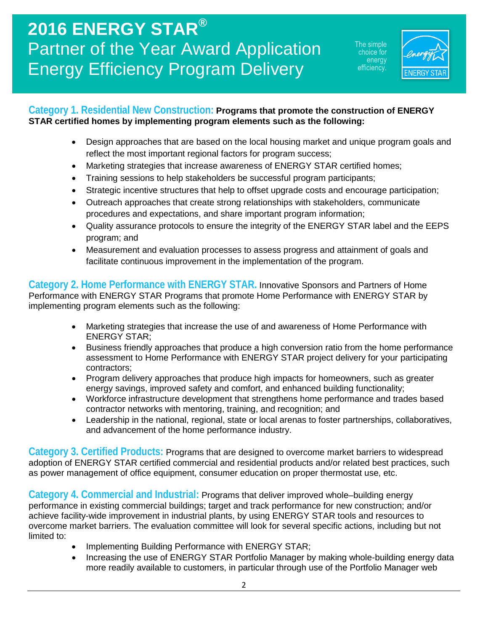The simple choice for energy efficiency.



#### **Category 1. Residential New Construction: Programs that promote the construction of ENERGY STAR certified homes by implementing program elements such as the following:**

- Design approaches that are based on the local housing market and unique program goals and reflect the most important regional factors for program success;
- Marketing strategies that increase awareness of ENERGY STAR certified homes;
- Training sessions to help stakeholders be successful program participants;
- Strategic incentive structures that help to offset upgrade costs and encourage participation;
- Outreach approaches that create strong relationships with stakeholders, communicate procedures and expectations, and share important program information;
- Quality assurance protocols to ensure the integrity of the ENERGY STAR label and the EEPS program; and
- Measurement and evaluation processes to assess progress and attainment of goals and facilitate continuous improvement in the implementation of the program.

**Category 2. Home Performance with ENERGY STAR.** Innovative Sponsors and Partners of Home Performance with ENERGY STAR Programs that promote Home Performance with ENERGY STAR by implementing program elements such as the following:

- Marketing strategies that increase the use of and awareness of Home Performance with ENERGY STAR;
- Business friendly approaches that produce a high conversion ratio from the home performance assessment to Home Performance with ENERGY STAR project delivery for your participating contractors;
- Program delivery approaches that produce high impacts for homeowners, such as greater energy savings, improved safety and comfort, and enhanced building functionality;
- Workforce infrastructure development that strengthens home performance and trades based contractor networks with mentoring, training, and recognition; and
- Leadership in the national, regional, state or local arenas to foster partnerships, collaboratives, and advancement of the home performance industry.

**Category 3. Certified Products:** Programs that are designed to overcome market barriers to widespread adoption of ENERGY STAR certified commercial and residential products and/or related best practices, such as power management of office equipment, consumer education on proper thermostat use, etc.

**Category 4. Commercial and Industrial:** Programs that deliver improved whole–building energy performance in existing commercial buildings; target and track performance for new construction; and/or achieve facility-wide improvement in industrial plants, by using ENERGY STAR tools and resources to overcome market barriers. The evaluation committee will look for several specific actions, including but not limited to:

- Implementing Building Performance with ENERGY STAR;
- Increasing the use of ENERGY STAR Portfolio Manager by making whole-building energy data more readily available to customers, in particular through use of the Portfolio Manager web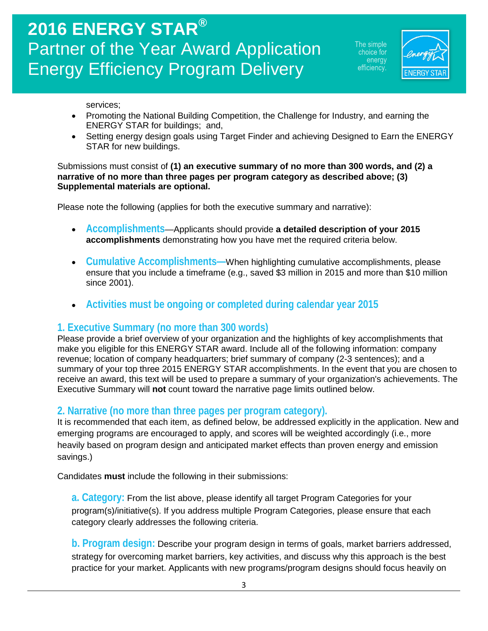he simple choice for energy efficiency.



services;

- Promoting the National Building Competition, the Challenge for Industry, and earning the ENERGY STAR for buildings; and,
- Setting energy design goals using Target Finder and achieving Designed to Earn the ENERGY STAR for new buildings.

Submissions must consist of **(1) an executive summary of no more than 300 words, and (2) a narrative of no more than three pages per program category as described above; (3) Supplemental materials are optional.**

Please note the following (applies for both the executive summary and narrative):

- **Accomplishments**—Applicants should provide **a detailed description of your 2015 accomplishments** demonstrating how you have met the required criteria below.
- **Cumulative Accomplishments—**When highlighting cumulative accomplishments, please ensure that you include a timeframe (e.g., saved \$3 million in 2015 and more than \$10 million since 2001).
- **Activities must be ongoing or completed during calendar year 2015**

#### **1. Executive Summary (no more than 300 words)**

Please provide a brief overview of your organization and the highlights of key accomplishments that make you eligible for this ENERGY STAR award. Include all of the following information: company revenue; location of company headquarters; brief summary of company (2-3 sentences); and a summary of your top three 2015 ENERGY STAR accomplishments. In the event that you are chosen to receive an award, this text will be used to prepare a summary of your organization's achievements. The Executive Summary will **not** count toward the narrative page limits outlined below.

### **2. Narrative (no more than three pages per program category).**

It is recommended that each item, as defined below, be addressed explicitly in the application. New and emerging programs are encouraged to apply, and scores will be weighted accordingly (i.e., more heavily based on program design and anticipated market effects than proven energy and emission savings.)

Candidates **must** include the following in their submissions:

**a. Category:** From the list above, please identify all target Program Categories for your program(s)/initiative(s). If you address multiple Program Categories, please ensure that each category clearly addresses the following criteria.

**b. Program design:** Describe your program design in terms of goals, market barriers addressed, strategy for overcoming market barriers, key activities, and discuss why this approach is the best practice for your market. Applicants with new programs/program designs should focus heavily on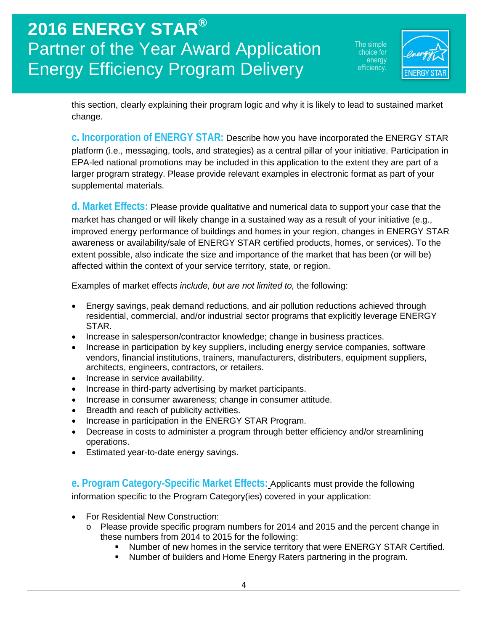he simple choice for energy efficiency.



this section, clearly explaining their program logic and why it is likely to lead to sustained market change.

**c. Incorporation of ENERGY STAR:** Describe how you have incorporated the ENERGY STAR platform (i.e., messaging, tools, and strategies) as a central pillar of your initiative. Participation in EPA-led national promotions may be included in this application to the extent they are part of a larger program strategy. Please provide relevant examples in electronic format as part of your supplemental materials.

**d. Market Effects:** Please provide qualitative and numerical data to support your case that the market has changed or will likely change in a sustained way as a result of your initiative (e.g., improved energy performance of buildings and homes in your region, changes in ENERGY STAR awareness or availability/sale of ENERGY STAR certified products, homes, or services). To the extent possible, also indicate the size and importance of the market that has been (or will be) affected within the context of your service territory, state, or region.

Examples of market effects *include, but are not limited to,* the following:

- Energy savings, peak demand reductions, and air pollution reductions achieved through residential, commercial, and/or industrial sector programs that explicitly leverage ENERGY STAR.
- Increase in salesperson/contractor knowledge; change in business practices.
- Increase in participation by key suppliers, including energy service companies, software vendors, financial institutions, trainers, manufacturers, distributers, equipment suppliers, architects, engineers, contractors, or retailers.
- Increase in service availability.
- Increase in third-party advertising by market participants.
- Increase in consumer awareness; change in consumer attitude.
- Breadth and reach of publicity activities.
- Increase in participation in the ENERGY STAR Program.
- Decrease in costs to administer a program through better efficiency and/or streamlining operations.
- Estimated year-to-date energy savings.

**e. Program Category-Specific Market Effects:** Applicants must provide the following information specific to the Program Category(ies) covered in your application:

- For Residential New Construction:
	- o Please provide specific program numbers for 2014 and 2015 and the percent change in these numbers from 2014 to 2015 for the following:
		- Number of new homes in the service territory that were ENERGY STAR Certified.
		- Number of builders and Home Energy Raters partnering in the program.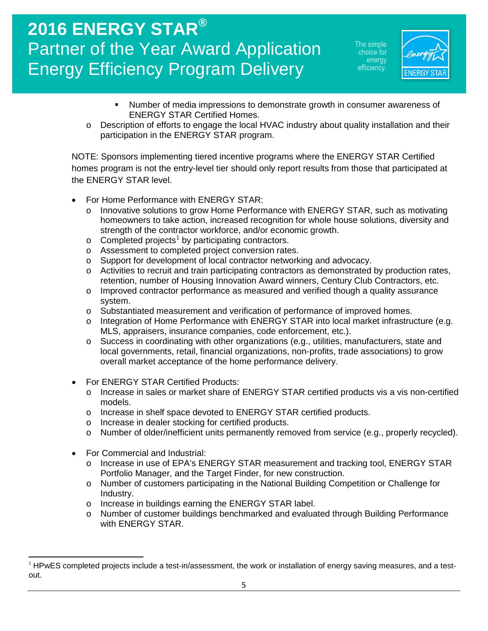he simple choice for energy efficiencv.



- Number of media impressions to demonstrate growth in consumer awareness of ENERGY STAR Certified Homes.
- o Description of efforts to engage the local HVAC industry about quality installation and their participation in the ENERGY STAR program.

NOTE: Sponsors implementing tiered incentive programs where the ENERGY STAR Certified homes program is not the entry-level tier should only report results from those that participated at the ENERGY STAR level.

- For Home Performance with ENERGY STAR:
	- o Innovative solutions to grow Home Performance with ENERGY STAR, such as motivating homeowners to take action, increased recognition for whole house solutions, diversity and strength of the contractor workforce, and/or economic growth.
	- $\circ$  Completed projects<sup>[1](#page-4-0)</sup> by participating contractors.
	- o Assessment to completed project conversion rates.
	- o Support for development of local contractor networking and advocacy.
	- $\circ$  Activities to recruit and train participating contractors as demonstrated by production rates, retention, number of Housing Innovation Award winners, Century Club Contractors, etc.
	- $\circ$  Improved contractor performance as measured and verified though a quality assurance system.
	- o Substantiated measurement and verification of performance of improved homes.
	- o Integration of Home Performance with ENERGY STAR into local market infrastructure (e.g. MLS, appraisers, insurance companies, code enforcement, etc.).
	- o Success in coordinating with other organizations (e.g., utilities, manufacturers, state and local governments, retail, financial organizations, non-profits, trade associations) to grow overall market acceptance of the home performance delivery.
- For ENERGY STAR Certified Products:
	- o Increase in sales or market share of ENERGY STAR certified products vis a vis non-certified models.
	- o Increase in shelf space devoted to ENERGY STAR certified products.
	- o Increase in dealer stocking for certified products.
	- o Number of older/inefficient units permanently removed from service (e.g., properly recycled).
- For Commercial and Industrial:

 $\overline{\phantom{a}}$ 

- o Increase in use of EPA's ENERGY STAR measurement and tracking tool, ENERGY STAR Portfolio Manager, and the Target Finder, for new construction.
- o Number of customers participating in the National Building Competition or Challenge for Industry.
- o Increase in buildings earning the ENERGY STAR label.
- o Number of customer buildings benchmarked and evaluated through Building Performance with ENERGY STAR.

<span id="page-4-0"></span> $1$  HPwES completed projects include a test-in/assessment, the work or installation of energy saving measures, and a testout.